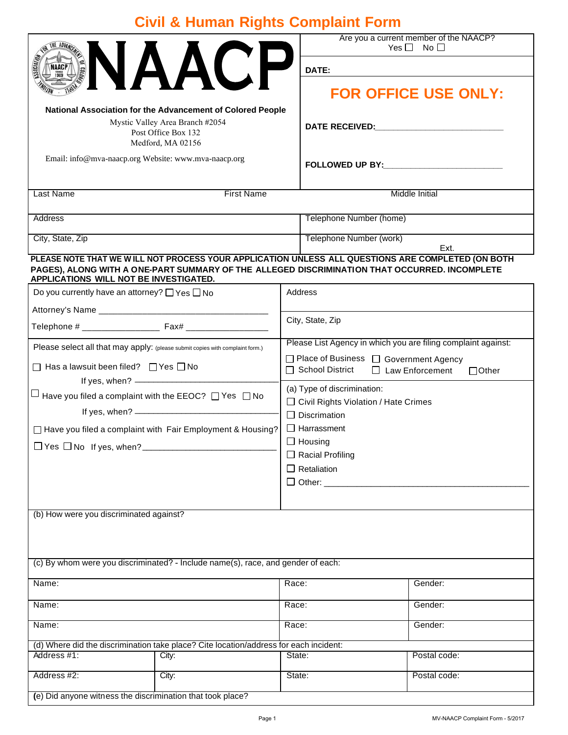## **Civil & Human Rights Complaint Form**

|                                                                                                                                                                                                                                              |                                                                                  |                                                                                                   |                                                                                                                                                                                                                                | Are you a current member of the NAACP?<br>$Yes \Box No \Box$ |                                                                                                                                           |
|----------------------------------------------------------------------------------------------------------------------------------------------------------------------------------------------------------------------------------------------|----------------------------------------------------------------------------------|---------------------------------------------------------------------------------------------------|--------------------------------------------------------------------------------------------------------------------------------------------------------------------------------------------------------------------------------|--------------------------------------------------------------|-------------------------------------------------------------------------------------------------------------------------------------------|
| VAACI<br>NAACI                                                                                                                                                                                                                               |                                                                                  |                                                                                                   | DATE:<br><b>FOR OFFICE USE ONLY:</b>                                                                                                                                                                                           |                                                              |                                                                                                                                           |
|                                                                                                                                                                                                                                              |                                                                                  |                                                                                                   |                                                                                                                                                                                                                                |                                                              | National Association for the Advancement of Colored People<br>Mystic Valley Area Branch #2054<br>Post Office Box 132<br>Medford, MA 02156 |
| Email: info@mva-naacp.org Website: www.mva-naacp.org                                                                                                                                                                                         |                                                                                  |                                                                                                   | FOLLOWED UP BY: NAMEL AND RESERVE TO A RESERVE THE RESERVE TO A REPORT OF THE RESERVE THE RESERVE THAT A REPORT OF THE RESERVE THAT A REPORT OF THE RESERVE THAT A REPORT OF THE REPORT OF THE REPORT OF THE REPORT OF THE REP |                                                              |                                                                                                                                           |
| <b>Last Name</b><br><b>First Name</b>                                                                                                                                                                                                        |                                                                                  |                                                                                                   | <b>Middle Initial</b>                                                                                                                                                                                                          |                                                              |                                                                                                                                           |
| <b>Address</b>                                                                                                                                                                                                                               |                                                                                  |                                                                                                   | Telephone Number (home)                                                                                                                                                                                                        |                                                              |                                                                                                                                           |
| City, State, Zip                                                                                                                                                                                                                             |                                                                                  |                                                                                                   | Telephone Number (work)<br>Ext.                                                                                                                                                                                                |                                                              |                                                                                                                                           |
| PLEASE NOTE THAT WE WILL NOT PROCESS YOUR APPLICATION UNLESS ALL QUESTIONS ARE COMPLETED (ON BOTH<br>PAGES), ALONG WITH A ONE-PART SUMMARY OF THE ALLEGED DISCRIMINATION THAT OCCURRED. INCOMPLETE<br>APPLICATIONS WILL NOT BE INVESTIGATED. |                                                                                  |                                                                                                   |                                                                                                                                                                                                                                |                                                              |                                                                                                                                           |
| Do you currently have an attorney? $\Box$ Yes $\Box$ No                                                                                                                                                                                      |                                                                                  | Address                                                                                           |                                                                                                                                                                                                                                |                                                              |                                                                                                                                           |
|                                                                                                                                                                                                                                              |                                                                                  | City, State, Zip                                                                                  |                                                                                                                                                                                                                                |                                                              |                                                                                                                                           |
|                                                                                                                                                                                                                                              |                                                                                  |                                                                                                   |                                                                                                                                                                                                                                |                                                              |                                                                                                                                           |
| Please select all that may apply: (please submit copies with complaint form.)                                                                                                                                                                |                                                                                  |                                                                                                   | Please List Agency in which you are filing complaint against:<br>□ Place of Business □ Government Agency                                                                                                                       |                                                              |                                                                                                                                           |
| $\Box$ Has a lawsuit been filed? $\Box$ Yes $\Box$ No                                                                                                                                                                                        |                                                                                  | $\Box$ School District<br>$\Box$ Law Enforcement<br>$\Box$ Other                                  |                                                                                                                                                                                                                                |                                                              |                                                                                                                                           |
| If yes, when? <u>- and the state of the state of</u><br>$\Box$ Have you filed a complaint with the EEOC? $\Box$ Yes $\Box$ No                                                                                                                |                                                                                  | (a) Type of discrimination:<br>$\Box$ Civil Rights Violation / Hate Crimes<br>$\Box$ Discrimation |                                                                                                                                                                                                                                |                                                              |                                                                                                                                           |
| □ Have you filed a complaint with Fair Employment & Housing?                                                                                                                                                                                 |                                                                                  | $\Box$ Harrassment                                                                                |                                                                                                                                                                                                                                |                                                              |                                                                                                                                           |
| $\Box$ Yes $\Box$ No If yes, when? ________                                                                                                                                                                                                  |                                                                                  |                                                                                                   | $\Box$ Housing                                                                                                                                                                                                                 |                                                              |                                                                                                                                           |
|                                                                                                                                                                                                                                              |                                                                                  |                                                                                                   | $\Box$ Racial Profiling<br>$\Box$ Retaliation                                                                                                                                                                                  |                                                              |                                                                                                                                           |
|                                                                                                                                                                                                                                              |                                                                                  | $\Box$ Other:                                                                                     |                                                                                                                                                                                                                                |                                                              |                                                                                                                                           |
|                                                                                                                                                                                                                                              |                                                                                  |                                                                                                   |                                                                                                                                                                                                                                |                                                              |                                                                                                                                           |
| (b) How were you discriminated against?                                                                                                                                                                                                      |                                                                                  |                                                                                                   |                                                                                                                                                                                                                                |                                                              |                                                                                                                                           |
|                                                                                                                                                                                                                                              | (c) By whom were you discriminated? - Include name(s), race, and gender of each: |                                                                                                   |                                                                                                                                                                                                                                |                                                              |                                                                                                                                           |
| Name:                                                                                                                                                                                                                                        |                                                                                  | Race:                                                                                             |                                                                                                                                                                                                                                | Gender:                                                      |                                                                                                                                           |
| Name:                                                                                                                                                                                                                                        |                                                                                  | Race:                                                                                             |                                                                                                                                                                                                                                | Gender:                                                      |                                                                                                                                           |
| Name:                                                                                                                                                                                                                                        |                                                                                  | Race:                                                                                             |                                                                                                                                                                                                                                | Gender:                                                      |                                                                                                                                           |
| (d) Where did the discrimination take place? Cite location/address for each incident:                                                                                                                                                        |                                                                                  |                                                                                                   |                                                                                                                                                                                                                                |                                                              |                                                                                                                                           |
| Address #1:                                                                                                                                                                                                                                  | City:                                                                            | State:                                                                                            |                                                                                                                                                                                                                                | Postal code:                                                 |                                                                                                                                           |
| Address #2:                                                                                                                                                                                                                                  | City:                                                                            | State:                                                                                            |                                                                                                                                                                                                                                | Postal code:                                                 |                                                                                                                                           |
| (e) Did anyone witness the discrimination that took place?                                                                                                                                                                                   |                                                                                  |                                                                                                   |                                                                                                                                                                                                                                |                                                              |                                                                                                                                           |